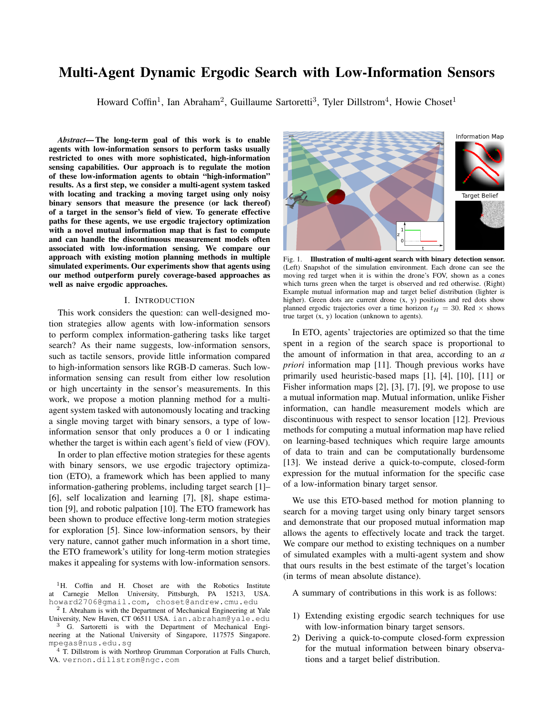# **Multi-Agent Dynamic Ergodic Search with Low-Information Sensors**

Howard Coffin<sup>1</sup>, Ian Abraham<sup>2</sup>, Guillaume Sartoretti<sup>3</sup>, Tyler Dillstrom<sup>4</sup>, Howie Choset<sup>1</sup>

Abstract-The long-term goal of this work is to enable agents with low-information sensors to perform tasks usually restricted to ones with more sophisticated, high-information sensing capabilities. Our approach is to regulate the motion of these low-information agents to obtain "high-information" results. As a first step, we consider a multi-agent system tasked with locating and tracking a moving target using only noisy binary sensors that measure the presence (or lack thereof) of a target in the sensor's field of view. To generate effective paths for these agents, we use ergodic trajectory optimization with a novel mutual information map that is fast to compute and can handle the discontinuous measurement models often associated with low-information sensing. We compare our approach with existing motion planning methods in multiple simulated experiments. Our experiments show that agents using our method outperform purely coverage-based approaches as well as naive ergodic approaches.

#### I. INTRODUCTION

This work considers the question: can well-designed motion strategies allow agents with low-information sensors to perform complex information-gathering tasks like target search? As their name suggests, low-information sensors, such as tactile sensors, provide little information compared to high-information sensors like RGB-D cameras. Such lowinformation sensing can result from either low resolution or high uncertainty in the sensor's measurements. In this work, we propose a motion planning method for a multiagent system tasked with autonomously locating and tracking a single moving target with binary sensors, a type of lowinformation sensor that only produces a 0 or 1 indicating whether the target is within each agent's field of view (FOV).

In order to plan effective motion strategies for these agents with binary sensors, we use ergodic trajectory optimization (ETO), a framework which has been applied to many information-gathering problems, including target search [1]– [6], self localization and learning [7], [8], shape estimation [9], and robotic palpation [10]. The ETO framework has been shown to produce effective long-term motion strategies for exploration [5]. Since low-information sensors, by their very nature, cannot gather much information in a short time, the ETO framework's utility for long-term motion strategies makes it appealing for systems with low-information sensors.

<sup>1</sup>H. Coffin and H. Choset are with the Robotics Institute at Carnegie Mellon University, Pittsburgh, PA 15213, USA. howard2706@gmail.com, choset@andrew.cmu.edu

 $2$  I. Abraham is with the Department of Mechanical Engineering at Yale University, New Haven, CT 06511 USA. ian.abraham@yale.edu <sup>3</sup> G. Sartoretti is with the Department of Mechanical Engi-

neering at the National University of Singapore, 117575 Singapore. mpegas@nus.edu.sq

<sup>4</sup> T. Dillstrom is with Northrop Grumman Corporation at Falls Church, VA. vernon.dillstrom@ngc.com



Fig. 1. Illustration of multi-agent search with binary detection sensor. (Left) Snapshot of the simulation environment. Each drone can see the moving red target when it is within the drone's FOV, shown as a cones which turns green when the target is observed and red otherwise. (Right) Example mutual information map and target belief distribution (lighter is higher). Green dots are current drone  $(x, y)$  positions and red dots show planned ergodic trajectories over a time horizon  $t_H = 30$ . Red  $\times$  shows true target  $(x, y)$  location (unknown to agents).

In ETO, agents' trajectories are optimized so that the time spent in a region of the search space is proportional to the amount of information in that area, according to an  $a$ *priori* information map [11]. Though previous works have primarily used heuristic-based maps [1], [4], [10], [11] or Fisher information maps  $[2]$ ,  $[3]$ ,  $[7]$ ,  $[9]$ , we propose to use a mutual information map. Mutual information, unlike Fisher information, can handle measurement models which are discontinuous with respect to sensor location [12]. Previous methods for computing a mutual information map have relied on learning-based techniques which require large amounts of data to train and can be computationally burdensome [13]. We instead derive a quick-to-compute, closed-form expression for the mutual information for the specific case of a low-information binary target sensor.

We use this ETO-based method for motion planning to search for a moving target using only binary target sensors and demonstrate that our proposed mutual information map allows the agents to effectively locate and track the target. We compare our method to existing techniques on a number of simulated examples with a multi-agent system and show that ours results in the best estimate of the target's location (in terms of mean absolute distance).

A summary of contributions in this work is as follows:

- 1) Extending existing ergodic search techniques for use with low-information binary target sensors.
- 2) Deriving a quick-to-compute closed-form expression for the mutual information between binary observations and a target belief distribution.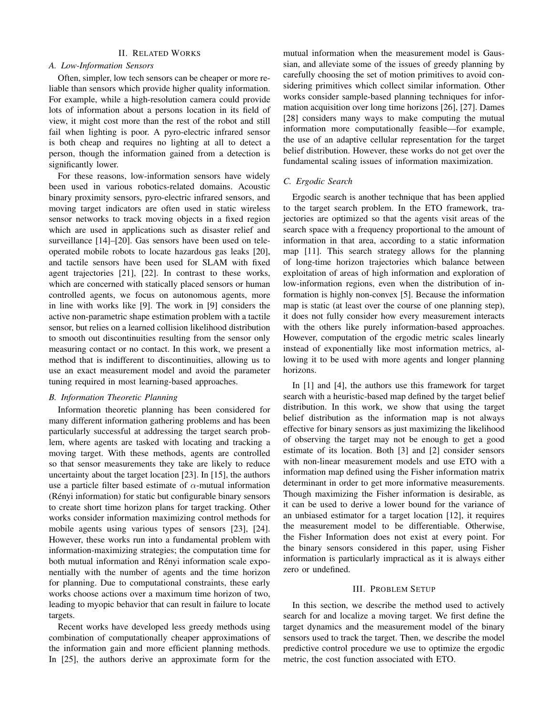# **II. RELATED WORKS**

## A. Low-Information Sensors

Often, simpler, low tech sensors can be cheaper or more reliable than sensors which provide higher quality information. For example, while a high-resolution camera could provide lots of information about a persons location in its field of view, it might cost more than the rest of the robot and still fail when lighting is poor. A pyro-electric infrared sensor is both cheap and requires no lighting at all to detect a person, though the information gained from a detection is significantly lower.

For these reasons, low-information sensors have widely been used in various robotics-related domains. Acoustic binary proximity sensors, pyro-electric infrared sensors, and moving target indicators are often used in static wireless sensor networks to track moving objects in a fixed region which are used in applications such as disaster relief and surveillance [14]–[20]. Gas sensors have been used on teleoperated mobile robots to locate hazardous gas leaks [20], and tactile sensors have been used for SLAM with fixed agent trajectories [21], [22]. In contrast to these works, which are concerned with statically placed sensors or human controlled agents, we focus on autonomous agents, more in line with works like [9]. The work in [9] considers the active non-parametric shape estimation problem with a tactile sensor, but relies on a learned collision likelihood distribution to smooth out discontinuities resulting from the sensor only measuring contact or no contact. In this work, we present a method that is indifferent to discontinuities, allowing us to use an exact measurement model and avoid the parameter tuning required in most learning-based approaches.

# **B.** Information Theoretic Planning

Information theoretic planning has been considered for many different information gathering problems and has been particularly successful at addressing the target search problem, where agents are tasked with locating and tracking a moving target. With these methods, agents are controlled so that sensor measurements they take are likely to reduce uncertainty about the target location [23]. In [15], the authors use a particle filter based estimate of  $\alpha$ -mutual information (Rényi information) for static but configurable binary sensors to create short time horizon plans for target tracking. Other works consider information maximizing control methods for mobile agents using various types of sensors [23], [24]. However, these works run into a fundamental problem with information-maximizing strategies; the computation time for both mutual information and Rényi information scale exponentially with the number of agents and the time horizon for planning. Due to computational constraints, these early works choose actions over a maximum time horizon of two, leading to myopic behavior that can result in failure to locate targets.

Recent works have developed less greedy methods using combination of computationally cheaper approximations of the information gain and more efficient planning methods. In [25], the authors derive an approximate form for the

mutual information when the measurement model is Gaussian, and alleviate some of the issues of greedy planning by carefully choosing the set of motion primitives to avoid considering primitives which collect similar information. Other works consider sample-based planning techniques for information acquisition over long time horizons [26], [27]. Dames [28] considers many ways to make computing the mutual information more computationally feasible—for example, the use of an adaptive cellular representation for the target belief distribution. However, these works do not get over the fundamental scaling issues of information maximization.

## C. Ergodic Search

Ergodic search is another technique that has been applied to the target search problem. In the ETO framework, trajectories are optimized so that the agents visit areas of the search space with a frequency proportional to the amount of information in that area, according to a static information map [11]. This search strategy allows for the planning of long-time horizon trajectories which balance between exploitation of areas of high information and exploration of low-information regions, even when the distribution of information is highly non-convex [5]. Because the information map is static (at least over the course of one planning step), it does not fully consider how every measurement interacts with the others like purely information-based approaches. However, computation of the ergodic metric scales linearly instead of exponentially like most information metrics, allowing it to be used with more agents and longer planning horizons.

In  $[1]$  and  $[4]$ , the authors use this framework for target search with a heuristic-based map defined by the target belief distribution. In this work, we show that using the target belief distribution as the information map is not always effective for binary sensors as just maximizing the likelihood of observing the target may not be enough to get a good estimate of its location. Both [3] and [2] consider sensors with non-linear measurement models and use ETO with a information map defined using the Fisher information matrix determinant in order to get more informative measurements. Though maximizing the Fisher information is desirable, as it can be used to derive a lower bound for the variance of an unbiased estimator for a target location [12], it requires the measurement model to be differentiable. Otherwise, the Fisher Information does not exist at every point. For the binary sensors considered in this paper, using Fisher information is particularly impractical as it is always either zero or undefined.

#### **III. PROBLEM SETUP**

In this section, we describe the method used to actively search for and localize a moving target. We first define the target dynamics and the measurement model of the binary sensors used to track the target. Then, we describe the model predictive control procedure we use to optimize the ergodic metric, the cost function associated with ETO.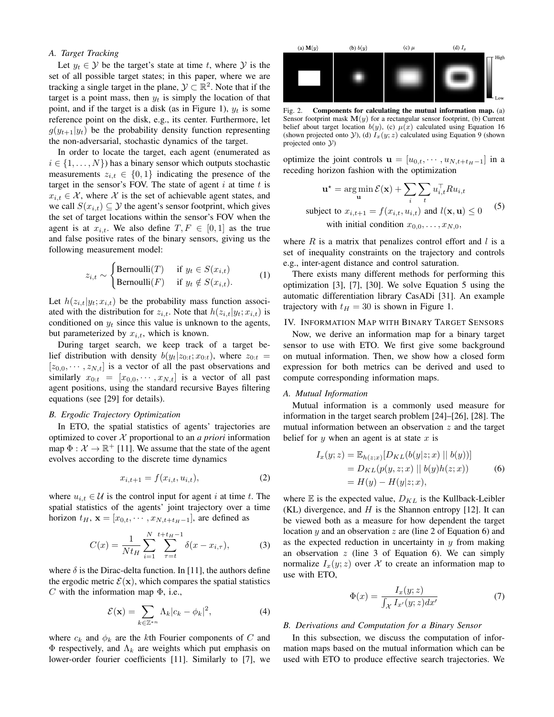# A. Target Tracking

Let  $y_t \in \mathcal{Y}$  be the target's state at time t, where  $\mathcal{Y}$  is the set of all possible target states; in this paper, where we are tracking a single target in the plane,  $\mathcal{Y} \subset \mathbb{R}^2$ . Note that if the target is a point mass, then  $y_t$  is simply the location of that point, and if the target is a disk (as in Figure 1),  $y_t$  is some reference point on the disk, e.g., its center. Furthermore, let  $g(y_{t+1}|y_t)$  be the probability density function representing the non-adversarial, stochastic dynamics of the target.

In order to locate the target, each agent (enumerated as  $i \in \{1, \ldots, N\}$  has a binary sensor which outputs stochastic measurements  $z_{i,t} \in \{0,1\}$  indicating the presence of the target in the sensor's FOV. The state of agent  $i$  at time  $t$  is  $x_{i,t} \in \mathcal{X}$ , where X is the set of achievable agent states, and we call  $S(x_{i,t}) \subseteq \mathcal{Y}$  the agent's sensor footprint, which gives the set of target locations within the sensor's FOV when the agent is at  $x_{i,t}$ . We also define  $T, F \in [0,1]$  as the true and false positive rates of the binary sensors, giving us the following measurement model:

$$
z_{i,t} \sim \begin{cases} \text{Bernoulli}(T) & \text{if } y_t \in S(x_{i,t}) \\ \text{Bernoulli}(F) & \text{if } y_t \notin S(x_{i,t}). \end{cases} \tag{1}
$$

Let  $h(z_{i,t}|y_t; x_{i,t})$  be the probability mass function associated with the distribution for  $z_{i,t}$ . Note that  $h(z_{i,t}|y_t;x_{i,t})$  is conditioned on  $y_t$  since this value is unknown to the agents, but parameterized by  $x_{i,t}$ , which is known.

During target search, we keep track of a target belief distribution with density  $b(y_t|z_{0:t}; x_{0:t})$ , where  $z_{0:t}$  $[z_{0,0}, \cdots, z_{N,t}]$  is a vector of all the past observations and similarly  $x_{0:t} = [x_{0,0}, \dots, x_{N,t}]$  is a vector of all past agent positions, using the standard recursive Bayes filtering equations (see [29] for details).

#### **B.** Ergodic Trajectory Optimization

In ETO, the spatial statistics of agents' trajectories are optimized to cover  $X$  proportional to an *a priori* information map  $\Phi : \mathcal{X} \to \mathbb{R}^+$  [11]. We assume that the state of the agent evolves according to the discrete time dynamics

$$
x_{i,t+1} = f(x_{i,t}, u_{i,t}),
$$
\n(2)

where  $u_{i,t} \in \mathcal{U}$  is the control input for agent i at time t. The spatial statistics of the agents' joint trajectory over a time horizon  $t_H$ ,  $\mathbf{x} = [x_{0,t}, \dots, x_{N,t+t_H-1}]$ , are defined as

$$
C(x) = \frac{1}{Nt_H} \sum_{i=1}^{N} \sum_{\tau=t}^{t+t_H-1} \delta(x - x_{i,\tau}),
$$
 (3)

where  $\delta$  is the Dirac-delta function. In [11], the authors define the ergodic metric  $\mathcal{E}(\mathbf{x})$ , which compares the spatial statistics C with the information map  $\Phi$ , i.e.,

$$
\mathcal{E}(\mathbf{x}) = \sum_{k \in \mathbb{Z}^{*n}} \Lambda_k |c_k - \phi_k|^2,
$$
 (4)

where  $c_k$  and  $\phi_k$  are the kth Fourier components of C and  $\Phi$  respectively, and  $\Lambda_k$  are weights which put emphasis on lower-order fourier coefficients [11]. Similarly to [7], we



Fig.  $2$ . Components for calculating the mutual information map. (a) Sensor footprint mask  $M(y)$  for a rectangular sensor footprint, (b) Current belief about target location  $b(y)$ , (c)  $\mu(x)$  calculated using Equation 16 (shown projected onto Y), (d)  $I_x(y; z)$  calculated using Equation 9 (shown projected onto  $V$ )

optimize the joint controls  $\mathbf{u} = [u_{0,t}, \cdots, u_{N,t+t_H-1}]$  in a receding horizon fashion with the optimization

$$
\mathbf{u}^* = \arg\min_{\mathbf{u}} \mathcal{E}(\mathbf{x}) + \sum_{i} \sum_{t} u_{i,t}^\top R u_{i,t}
$$
  
subject to  $x_{i,t+1} = f(x_{i,t}, u_{i,t})$  and  $l(\mathbf{x}, \mathbf{u}) \le 0$  (5)  
with initial condition  $x_{0,0}, \dots, x_{N,0}$ ,

where  $R$  is a matrix that penalizes control effort and  $l$  is a set of inequality constraints on the trajectory and controls e.g., inter-agent distance and control saturation.

There exists many different methods for performing this optimization [3], [7], [30]. We solve Equation 5 using the automatic differentiation library CasADi [31]. An example trajectory with  $t_H = 30$  is shown in Figure 1.

## IV. INFORMATION MAP WITH BINARY TARGET SENSORS

Now, we derive an information map for a binary target sensor to use with ETO. We first give some background on mutual information. Then, we show how a closed form expression for both metrics can be derived and used to compute corresponding information maps.

#### A. Mutual Information

Mutual information is a commonly used measure for information in the target search problem [24]–[26], [28]. The mutual information between an observation  $z$  and the target belief for  $y$  when an agent is at state  $x$  is

$$
I_x(y; z) = \mathbb{E}_{h(z;x)}[D_{KL}(b(y|z;x) || b(y))]
$$
  
=  $D_{KL}(p(y, z;x) || b(y)h(z;x))$  (6)  
=  $H(y) - H(y|z;x)$ ,

where  $E$  is the expected value,  $D_{KL}$  is the Kullback-Leibler (KL) divergence, and  $H$  is the Shannon entropy [12]. It can be viewed both as a measure for how dependent the target location  $y$  and an observation  $z$  are (line 2 of Equation 6) and as the expected reduction in uncertainty in  $y$  from making an observation  $z$  (line 3 of Equation 6). We can simply normalize  $I_x(y; z)$  over X to create an information map to use with ETO,

$$
\Phi(x) = \frac{I_x(y;z)}{\int_{\mathcal{X}} I_{x'}(y;z)dx'}
$$
\n(7)

## B. Derivations and Computation for a Binary Sensor

In this subsection, we discuss the computation of information maps based on the mutual information which can be used with ETO to produce effective search trajectories. We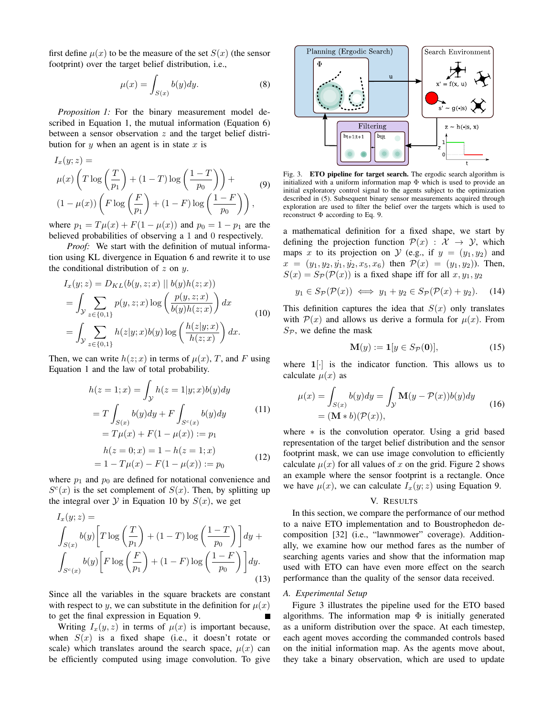first define  $\mu(x)$  to be the measure of the set  $S(x)$  (the sensor footprint) over the target belief distribution, i.e.,

$$
\mu(x) = \int_{S(x)} b(y) dy.
$$
 (8)

*Proposition 1:* For the binary measurement model described in Equation 1, the mutual information (Equation 6) between a sensor observation  $z$  and the target belief distribution for  $y$  when an agent is in state  $x$  is

$$
I_x(y; z) =
$$
  
\n
$$
\mu(x) \left( T \log \left( \frac{T}{p_1} \right) + (1 - T) \log \left( \frac{1 - T}{p_0} \right) \right) +
$$
  
\n
$$
(1 - \mu(x)) \left( F \log \left( \frac{F}{p_1} \right) + (1 - F) \log \left( \frac{1 - F}{p_0} \right) \right),
$$
\n(9)

where  $p_1 = T\mu(x) + F(1 - \mu(x))$  and  $p_0 = 1 - p_1$  are the believed probabilities of observing a 1 and 0 respectively.

*Proof:* We start with the definition of mutual information using KL divergence in Equation 6 and rewrite it to use the conditional distribution of  $z$  on  $y$ .

$$
I_x(y; z) = D_{KL}(b(y, z; x) || b(y)h(z; x))
$$
  
= 
$$
\int_{\mathcal{Y}} \sum_{z \in \{0, 1\}} p(y, z; x) \log \left( \frac{p(y, z; x)}{b(y)h(z; x)} \right) dx
$$
  
= 
$$
\int_{\mathcal{Y}} \sum_{z \in \{0, 1\}} h(z|y; x) b(y) \log \left( \frac{h(z|y; x)}{h(z; x)} \right) dx.
$$
 (10)

Then, we can write  $h(z; x)$  in terms of  $\mu(x)$ , T, and F using Equation 1 and the law of total probability.

$$
h(z = 1; x) = \int_{\mathcal{Y}} h(z = 1|y; x) b(y) dy
$$
  
=  $T \int_{S(x)} b(y) dy + F \int_{S^c(x)} b(y) dy$  (11)  
=  $T\mu(x) + F(1 - \mu(x)) := p_1$   

$$
h(z = 0; x) = 1 - h(z = 1; x)
$$
  
=  $1 - T\mu(x) - F(1 - \mu(x)) := p_0$  (12)

where  $p_1$  and  $p_0$  are defined for notational convenience and  $S^{c}(x)$  is the set complement of  $S(x)$ . Then, by splitting up the integral over  $Y$  in Equation 10 by  $S(x)$ , we get

$$
I_x(y; z) =
$$
  
\n
$$
\int_{S(x)} b(y) \left[ T \log \left( \frac{T}{p_1} \right) + (1 - T) \log \left( \frac{1 - T}{p_0} \right) \right] dy +
$$
  
\n
$$
\int_{S^c(x)} b(y) \left[ F \log \left( \frac{F}{p_1} \right) + (1 - F) \log \left( \frac{1 - F}{p_0} \right) \right] dy.
$$
\n(13)

Since all the variables in the square brackets are constant with respect to y, we can substitute in the definition for  $\mu(x)$ to get the final expression in Equation 9.

Writing  $I_x(y, z)$  in terms of  $\mu(x)$  is important because, when  $S(x)$  is a fixed shape (i.e., it doesn't rotate or scale) which translates around the search space,  $\mu(x)$  can be efficiently computed using image convolution. To give



Fig. 3. ETO pipeline for target search. The ergodic search algorithm is initialized with a uniform information map  $\Phi$  which is used to provide an initial exploratory control signal to the agents subject to the optimization described in (5). Subsequent binary sensor measurements acquired through exploration are used to filter the belief over the targets which is used to reconstruct  $\Phi$  according to Eq. 9.

a mathematical definition for a fixed shape, we start by defining the projection function  $\mathcal{P}(x) : \mathcal{X} \to \mathcal{Y}$ , which maps x to its projection on  $\mathcal Y$  (e.g., if  $y = (y_1, y_2)$  and  $x = (y_1, y_2, y_1, y_2, x_5, x_6)$  then  $\mathcal{P}(x) = (y_1, y_2)$ . Then,  $S(x) = S_{\mathcal{P}}(\mathcal{P}(x))$  is a fixed shape iff for all  $x, y_1, y_2$ 

$$
y_1 \in S_{\mathcal{P}}(\mathcal{P}(x)) \iff y_1 + y_2 \in S_{\mathcal{P}}(\mathcal{P}(x) + y_2).
$$
 (14)

This definition captures the idea that  $S(x)$  only translates with  $\mathcal{P}(x)$  and allows us derive a formula for  $\mu(x)$ . From  $S_{\mathcal{P}}$ , we define the mask

$$
\mathbf{M}(y) := \mathbf{1}[y \in S_{\mathcal{P}}(\mathbf{0})],\tag{15}
$$

where  $1$ [ $\cdot$ ] is the indicator function. This allows us to calculate  $\mu(x)$  as

$$
\mu(x) = \int_{S(x)} b(y) dy = \int_{\mathcal{Y}} \mathbf{M}(y - \mathcal{P}(x)) b(y) dy
$$
  
=  $(\mathbf{M} * b)(\mathcal{P}(x)),$  (16)

where  $*$  is the convolution operator. Using a grid based representation of the target belief distribution and the sensor footprint mask, we can use image convolution to efficiently calculate  $\mu(x)$  for all values of x on the grid. Figure 2 shows an example where the sensor footprint is a rectangle. Once we have  $\mu(x)$ , we can calculate  $I_x(y; z)$  using Equation 9.

## V. RESULTS

In this section, we compare the performance of our method to a naive ETO implementation and to Boustrophedon decomposition [32] (i.e., "lawnmower" coverage). Additionally, we examine how our method fares as the number of searching agents varies and show that the information map used with ETO can have even more effect on the search performance than the quality of the sensor data received.

#### A. Experimental Setup

Figure 3 illustrates the pipeline used for the ETO based algorithms. The information map  $\Phi$  is initially generated as a uniform distribution over the space. At each timestep, each agent moves according the commanded controls based on the initial information map. As the agents move about, they take a binary observation, which are used to update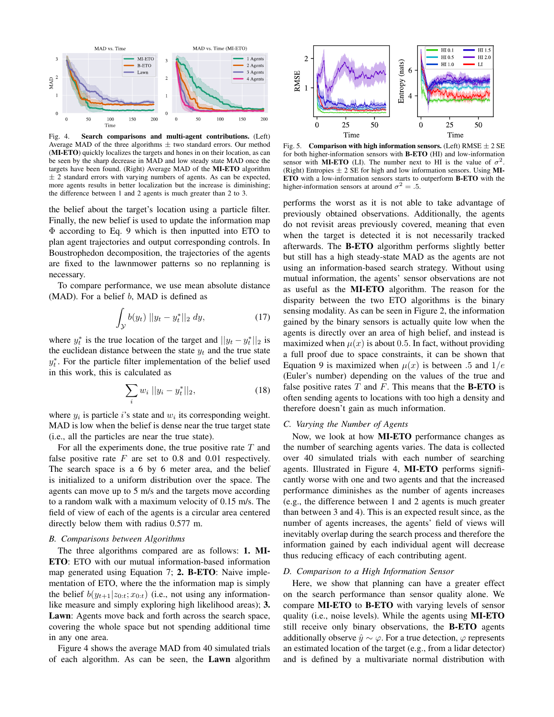

Fig. 4. Search comparisons and multi-agent contributions. (Left) Average MAD of the three algorithms  $\pm$  two standard errors. Our method (MI-ETO) quickly localizes the targets and hones in on their location, as can be seen by the sharp decrease in MAD and low steady state MAD once the targets have been found. (Right) Average MAD of the MI-ETO algorithm  $\pm$  2 standard errors with varying numbers of agents. As can be expected, more agents results in better localization but the increase is diminishing; the difference between 1 and 2 agents is much greater than 2 to 3.

the belief about the target's location using a particle filter. Finally, the new belief is used to update the information map  $\Phi$  according to Eq. 9 which is then inputted into ETO to plan agent trajectories and output corresponding controls. In Boustrophedon decomposition, the trajectories of the agents are fixed to the lawnmower patterns so no replanning is necessary.

To compare performance, we use mean absolute distance (MAD). For a belief  $b$ , MAD is defined as

$$
\int_{\mathcal{Y}} b(y_t) \, ||y_t - y_t^*||_2 \, dy,\tag{17}
$$

where  $y_t^*$  is the true location of the target and  $||y_t - y_t^*||_2$  is the euclidean distance between the state  $y_t$  and the true state  $y_t^*$ . For the particle filter implementation of the belief used in this work, this is calculated as

$$
\sum_{i} w_i ||y_i - y_t^*||_2, \tag{18}
$$

where  $y_i$  is particle *i*'s state and  $w_i$  its corresponding weight. MAD is low when the belief is dense near the true target state (i.e., all the particles are near the true state).

For all the experiments done, the true positive rate  $T$  and false positive rate  $F$  are set to 0.8 and 0.01 respectively. The search space is a 6 by 6 meter area, and the belief is initialized to a uniform distribution over the space. The agents can move up to 5 m/s and the targets move according to a random walk with a maximum velocity of 0.15 m/s. The field of view of each of the agents is a circular area centered directly below them with radius 0.577 m.

#### **B.** Comparisons between Algorithms

The three algorithms compared are as follows: 1. MI-ETO: ETO with our mutual information-based information map generated using Equation 7; 2. B-ETO: Naive implementation of ETO, where the the information map is simply the belief  $b(y_{t+1}|z_{0:t};x_{0:t})$  (i.e., not using any informationlike measure and simply exploring high likelihood areas); 3. Lawn: Agents move back and forth across the search space, covering the whole space but not spending additional time in any one area.

Figure 4 shows the average MAD from 40 simulated trials of each algorithm. As can be seen, the **Lawn** algorithm



Fig. 5. Comparison with high information sensors. (Left) RMSE  $\pm 2$  SE for both higher-information sensors with **B-ETO** (HI) and low-information sensor with **MI-ETO** (LI). The number next to HI is the value of  $\sigma^2$ . (Right) Entropies  $\pm 2$  SE for high and low information sensors. Using MI-ETO with a low-information sensors starts to outperform B-ETO with the higher-information sensors at around  $\sigma^2 = .5$ .

performs the worst as it is not able to take advantage of previously obtained observations. Additionally, the agents do not revisit areas previously covered, meaning that even when the target is detected it is not necessarily tracked afterwards. The **B-ETO** algorithm performs slightly better but still has a high steady-state MAD as the agents are not using an information-based search strategy. Without using mutual information, the agents' sensor observations are not as useful as the MI-ETO algorithm. The reason for the disparity between the two ETO algorithms is the binary sensing modality. As can be seen in Figure 2, the information gained by the binary sensors is actually quite low when the agents is directly over an area of high belief, and instead is maximized when  $\mu(x)$  is about 0.5. In fact, without providing a full proof due to space constraints, it can be shown that Equation 9 is maximized when  $\mu(x)$  is between .5 and  $1/e$ (Euler's number) depending on the values of the true and false positive rates  $T$  and  $F$ . This means that the **B-ETO** is often sending agents to locations with too high a density and therefore doesn't gain as much information.

#### C. Varying the Number of Agents

Now, we look at how **MI-ETO** performance changes as the number of searching agents varies. The data is collected over 40 simulated trials with each number of searching agents. Illustrated in Figure 4, MI-ETO performs significantly worse with one and two agents and that the increased performance diminishes as the number of agents increases (e.g., the difference between 1 and 2 agents is much greater than between 3 and 4). This is an expected result since, as the number of agents increases, the agents' field of views will inevitably overlap during the search process and therefore the information gained by each individual agent will decrease thus reducing efficacy of each contributing agent.

## D. Comparison to a High Information Sensor

Here, we show that planning can have a greater effect on the search performance than sensor quality alone. We compare MI-ETO to B-ETO with varying levels of sensor quality (i.e., noise levels). While the agents using **MI-ETO** still receive only binary observations, the B-ETO agents additionally observe  $\hat{y} \sim \varphi$ . For a true detection,  $\varphi$  represents an estimated location of the target (e.g., from a lidar detector) and is defined by a multivariate normal distribution with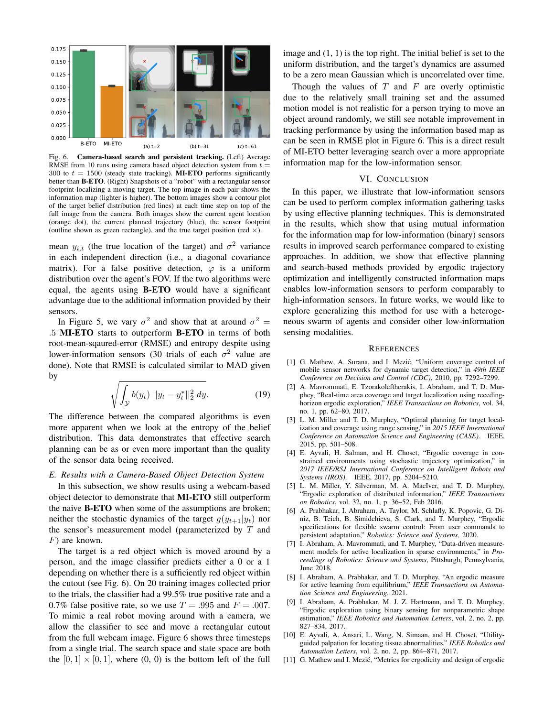

Fig. 6. Camera-based search and persistent tracking. (Left) Average RMSE from 10 runs using camera based object detection system from  $t =$ 300 to  $t = 1500$  (steady state tracking). **MI-ETO** performs significantly better than **B-ETO**. (Right) Snapshots of a "robot" with a rectangular sensor footprint localizing a moving target. The top image in each pair shows the information map (lighter is higher). The bottom images show a contour plot of the target belief distribution (red lines) at each time step on top of the full image from the camera. Both images show the current agent location (orange dot), the current planned trajectory (blue), the sensor footprint (outline shown as green rectangle), and the true target position (red  $\times$ ).

mean  $y_{i,t}$  (the true location of the target) and  $\sigma^2$  variance in each independent direction (i.e., a diagonal covariance matrix). For a false positive detection,  $\varphi$  is a uniform distribution over the agent's FOV. If the two algorithms were equal, the agents using **B-ETO** would have a significant advantage due to the additional information provided by their sensors.

In Figure 5, we vary  $\sigma^2$  and show that at around  $\sigma^2 =$ .5 MI-ETO starts to outperform B-ETO in terms of both root-mean-sqaured-error (RMSE) and entropy despite using lower-information sensors (30 trials of each  $\sigma^2$  value are done). Note that RMSE is calculated similar to MAD given by

$$
\sqrt{\int_{\mathcal{Y}} b(y_t) ||y_t - y_t^*||_2^2 dy}.
$$
 (19)

The difference between the compared algorithms is even more apparent when we look at the entropy of the belief distribution. This data demonstrates that effective search planning can be as or even more important than the quality of the sensor data being received.

### E. Results with a Camera-Based Object Detection System

In this subsection, we show results using a webcam-based object detector to demonstrate that MI-ETO still outperform the naive **B-ETO** when some of the assumptions are broken; neither the stochastic dynamics of the target  $g(y_{t+1}|y_t)$  nor the sensor's measurement model (parameterized by  $T$  and  $F$ ) are known.

The target is a red object which is moved around by a person, and the image classifier predicts either a 0 or a 1 depending on whether there is a sufficiently red object within the cutout (see Fig. 6). On 20 training images collected prior to the trials, the classifier had a 99.5% true positive rate and a 0.7% false positive rate, so we use  $T = .995$  and  $F = .007$ . To mimic a real robot moving around with a camera, we allow the classifier to see and move a rectangular cutout from the full webcam image. Figure 6 shows three timesteps from a single trial. The search space and state space are both the  $[0, 1] \times [0, 1]$ , where  $(0, 0)$  is the bottom left of the full

image and  $(1, 1)$  is the top right. The initial belief is set to the uniform distribution, and the target's dynamics are assumed to be a zero mean Gaussian which is uncorrelated over time.

Though the values of  $T$  and  $F$  are overly optimistic due to the relatively small training set and the assumed motion model is not realistic for a person trying to move an object around randomly, we still see notable improvement in tracking performance by using the information based map as can be seen in RMSE plot in Figure 6. This is a direct result of MI-ETO better leveraging search over a more appropriate information map for the low-information sensor.

## VI. CONCLUSION

In this paper, we illustrate that low-information sensors can be used to perform complex information gathering tasks by using effective planning techniques. This is demonstrated in the results, which show that using mutual information for the information map for low-information (binary) sensors results in improved search performance compared to existing approaches. In addition, we show that effective planning and search-based methods provided by ergodic trajectory optimization and intelligently constructed information maps enables low-information sensors to perform comparably to high-information sensors. In future works, we would like to explore generalizing this method for use with a heterogeneous swarm of agents and consider other low-information sensing modalities.

#### **REFERENCES**

- [1] G. Mathew, A. Surana, and I. Mezić, "Uniform coverage control of mobile sensor networks for dynamic target detection," in 49th IEEE Conference on Decision and Control (CDC), 2010, pp. 7292-7299.
- [2] A. Mavrommati, E. Tzorakoleftherakis, I. Abraham, and T. D. Murphey, "Real-time area coverage and target localization using recedinghorizon ergodic exploration," IEEE Transactions on Robotics, vol. 34, no. 1, pp. 62-80, 2017.
- [3] L. M. Miller and T. D. Murphey, "Optimal planning for target localization and coverage using range sensing," in 2015 IEEE International Conference on Automation Science and Engineering (CASE). IEEE, 2015, pp. 501-508.
- [4] E. Ayvali, H. Salman, and H. Choset, "Ergodic coverage in constrained environments using stochastic trajectory optimization," in 2017 IEEE/RSJ International Conference on Intelligent Robots and Systems (IROS). IEEE, 2017, pp. 5204-5210.
- [5] L. M. Miller, Y. Silverman, M. A. MacIver, and T. D. Murphey, "Ergodic exploration of distributed information," IEEE Transactions on Robotics, vol. 32, no. 1, p. 36-52, Feb 2016.
- [6] A. Prabhakar, I. Abraham, A. Taylor, M. Schlafly, K. Popovic, G. Diniz, B. Teich, B. Simidchieva, S. Clark, and T. Murphey, "Ergodic specifications for flexible swarm control: From user commands to persistent adaptation," Robotics: Science and Systems, 2020.
- [7] I. Abraham, A. Mavrommati, and T. Murphey, "Data-driven measurement models for active localization in sparse environments," in Proceedings of Robotics: Science and Systems, Pittsburgh, Pennsylvania, June 2018.
- [8] I. Abraham, A. Prabhakar, and T. D. Murphey, "An ergodic measure for active learning from equilibrium," IEEE Transactions on Automation Science and Engineering, 2021.
- I. Abraham, A. Prabhakar, M. J. Z. Hartmann, and T. D. Murphey,  $[9]$ "Ergodic exploration using binary sensing for nonparametric shape estimation," IEEE Robotics and Automation Letters, vol. 2, no. 2, pp. 827-834, 2017.
- [10] E. Ayvali, A. Ansari, L. Wang, N. Simaan, and H. Choset, "Utilityguided palpation for locating tissue abnormalities," IEEE Robotics and Automation Letters, vol. 2, no. 2, pp. 864-871, 2017.
- [11] G. Mathew and I. Mezić, "Metrics for ergodicity and design of ergodic